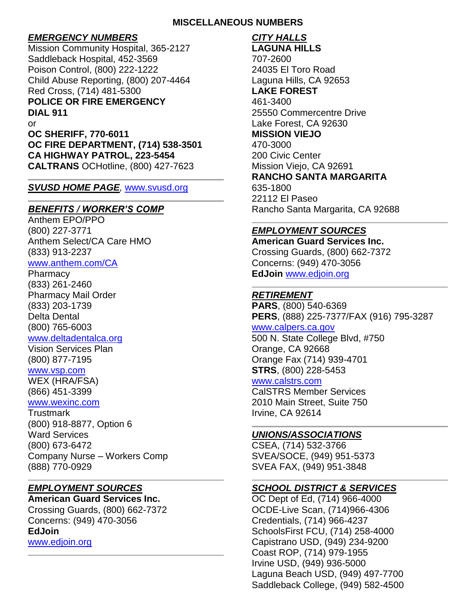#### **MISCELLANEOUS NUMBERS**

# *EMERGENCY NUMBERS*

Mission Community Hospital, 365-2127 Saddleback Hospital, 452-3569 Poison Control, (800) 222-1222 Child Abuse Reporting, (800) 207-4464 Red Cross, (714) 481-5300 **POLICE OR FIRE EMERGENCY DIAL 911** or **OC SHERIFF, 770-6011**

**OC FIRE DEPARTMENT, (714) 538-3501 CA HIGHWAY PATROL, 223-5454 CALTRANS** OCHotline, (800) 427-7623

#### *SVUSD HOME PAGE,* [www.svusd.org](http://www.svusd.org/)

# *BENEFITS / WORKER'S COMP*

Anthem EPO/PPO (800) 227-3771 Anthem Select/CA Care HMO (833) 913-2237

#### [www.anthem.com/CA](http://www.anthem.com/CA)

**Pharmacy** (833) 261-2460 Pharmacy Mail Order (833) 203-1739 Delta Dental (800) 765-6003 [www.deltadentalca.org](http://www.deltadentalca.org/)

#### Vision Services Plan (800) 877-7195

[www.vsp.com](http://www.vsp.com/) WEX (HRA/FSA) (866) 451-3399

#### [www.wexinc.com](http://www.wexinc.com/)

Trustmark (800) 918-8877, Option 6 Ward Services (800) 673-6472 Company Nurse – Workers Comp (888) 770-0929

# *EMPLOYMENT SOURCES*

**American Guard Services Inc.** Crossing Guards, (800) 662-7372 Concerns: (949) 470-3056 **EdJoin** [www.edjoin.org](http://www.edjoin.org/)

# *CITY HALLS*

**LAGUNA HILLS** 707-2600 24035 El Toro Road Laguna Hills, CA 92653 **LAKE FOREST** 461-3400 25550 Commercentre Drive Lake Forest, CA 92630 **MISSION VIEJO** 470-3000 200 Civic Center Mission Viejo, CA 92691 **RANCHO SANTA MARGARITA** 635-1800 22112 El Paseo Rancho Santa Margarita, CA 92688

# *EMPLOYMENT SOURCES*

**American Guard Services Inc.** Crossing Guards, (800) 662-7372 Concerns: (949) 470-3056 **EdJoin** [www.edjoin.org](http://www.edjoin.org/)

# *RETIREMENT*

**PARS**, (800) 540-6369 **PERS**, (888) 225-7377/FAX (916) 795-3287

### [www.calpers.ca.gov](http://www.calpers.ca.gov/)

500 N. State College Blvd, #750 Orange, CA 92668 Orange Fax (714) 939-4701 **STRS**, (800) 228-5453

# [www.calstrs.com](http://www.calstrs.com/)

CalSTRS Member Services 2010 Main Street, Suite 750 Irvine, CA 92614

# *UNIONS/ASSOCIATIONS*

CSEA, (714) 532-3766 SVEA/SOCE, (949) 951-5373 SVEA FAX, (949) 951-3848

# *SCHOOL DISTRICT & SERVICES*

OC Dept of Ed, (714) 966-4000 OCDE-Live Scan, (714)966-4306 Credentials, (714) 966-4237 SchoolsFirst FCU, (714) 258-4000 Capistrano USD, (949) 234-9200 Coast ROP, (714) 979-1955 Irvine USD, (949) 936-5000 Laguna Beach USD, (949) 497-7700 Saddleback College, (949) 582-4500